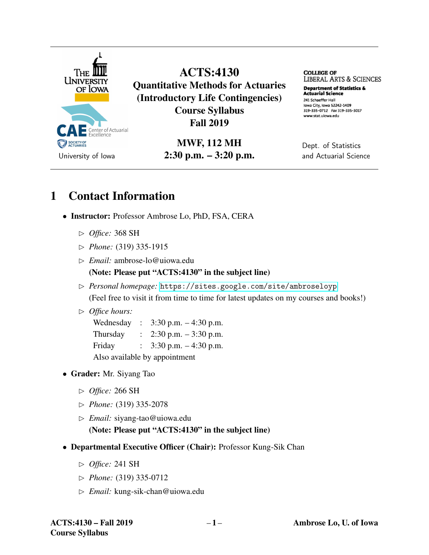

ACTS:4130 Quantitative Methods for Actuaries (Introductory Life Contingencies) Course Syllabus Fall 2019

> MWF, 112 MH 2:30 p.m. – 3:20 p.m.

**COLLEGE OF**  LIBERAL ARTS & SCIENCES

**Department of Statistics & Actuarial science**  241 Schaeffer Hall Iowa City, Iowa 52242-1409 319-335-0712 Fax 319-335-3017 www.stat.uiowa.edu

Dept. of Statistics and Actuarial Science

## 1 Contact Information

- Instructor: Professor Ambrose Lo, PhD, FSA, CERA
	- ✄ *Office:* 368 SH
	- ✄ *Phone:* (319) 335-1915
	- ✄ *Email:* ambrose-lo@uiowa.edu (Note: Please put "ACTS:4130" in the subject line)
	- ✄ *Personal homepage:* <https://sites.google.com/site/ambroseloyp> (Feel free to visit it from time to time for latest updates on my courses and books!)

#### ✄ *Office hours:*

Wednesday : 3:30 p.m. – 4:30 p.m. Thursday : 2:30 p.m. – 3:30 p.m. Friday : 3:30 p.m. – 4:30 p.m. Also available by appointment

- Grader: Mr. Siyang Tao
	- ✄ *Office:* 266 SH
	- ✄ *Phone:* (319) 335-2078
	- ✄ *Email:* siyang-tao@uiowa.edu (Note: Please put "ACTS:4130" in the subject line)
- Departmental Executive Officer (Chair): Professor Kung-Sik Chan
	- ✄ *Office:* 241 SH
	- ✄ *Phone:* (319) 335-0712
	- ✄ *Email:* kung-sik-chan@uiowa.edu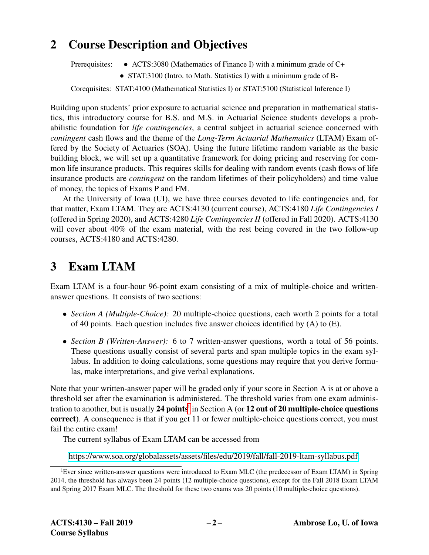## 2 Course Description and Objectives

Prerequisites: • ACTS:3080 (Mathematics of Finance I) with a minimum grade of C+

• STAT:3100 (Intro. to Math. Statistics I) with a minimum grade of B-

Corequisites: STAT:4100 (Mathematical Statistics I) or STAT:5100 (Statistical Inference I)

Building upon students' prior exposure to actuarial science and preparation in mathematical statistics, this introductory course for B.S. and M.S. in Actuarial Science students develops a probabilistic foundation for *life contingencies*, a central subject in actuarial science concerned with *contingent* cash flows and the theme of the *Long-Term Actuarial Mathematics* (LTAM) Exam offered by the Society of Actuaries (SOA). Using the future lifetime random variable as the basic building block, we will set up a quantitative framework for doing pricing and reserving for common life insurance products. This requires skills for dealing with random events (cash flows of life insurance products are *contingent* on the random lifetimes of their policyholders) and time value of money, the topics of Exams P and FM.

At the University of Iowa (UI), we have three courses devoted to life contingencies and, for that matter, Exam LTAM. They are ACTS:4130 (current course), ACTS:4180 *Life Contingencies I* (offered in Spring 2020), and ACTS:4280 *Life Contingencies II* (offered in Fall 2020). ACTS:4130 will cover about 40% of the exam material, with the rest being covered in the two follow-up courses, ACTS:4180 and ACTS:4280.

## 3 Exam LTAM

Exam LTAM is a four-hour 96-point exam consisting of a mix of multiple-choice and writtenanswer questions. It consists of two sections:

- *Section A (Multiple-Choice):* 20 multiple-choice questions, each worth 2 points for a total of 40 points. Each question includes five answer choices identified by (A) to (E).
- *Section B (Written-Answer):* 6 to 7 written-answer questions, worth a total of 56 points. These questions usually consist of several parts and span multiple topics in the exam syllabus. In addition to doing calculations, some questions may require that you derive formulas, make interpretations, and give verbal explanations.

Note that your written-answer paper will be graded only if your score in Section A is at or above a threshold set after the examination is administered. The threshold varies from one exam administrat[i](#page-1-0)on to another, but is usually 24 points<sup>i</sup> in Section A (or 12 out of 20 multiple-choice questions correct). A consequence is that if you get 11 or fewer multiple-choice questions correct, you must fail the entire exam!

The current syllabus of Exam LTAM can be accessed from

[https://www.soa.org/globalassets/assets/files/edu/2019/fall/fall-2019-ltam-syllabus.pdf.](https://www.soa.org/globalassets/assets/files/edu/2019/fall/fall-2019-ltam-syllabus.pdf)

<span id="page-1-0"></span><sup>&</sup>lt;sup>i</sup>Ever since written-answer questions were introduced to Exam MLC (the predecessor of Exam LTAM) in Spring 2014, the threshold has always been 24 points (12 multiple-choice questions), except for the Fall 2018 Exam LTAM and Spring 2017 Exam MLC. The threshold for these two exams was 20 points (10 multiple-choice questions).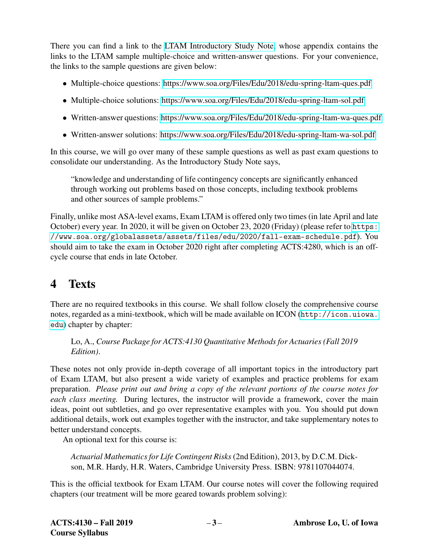There you can find a link to the [LTAM Introductory Study Note,](https://www.soa.org/globalassets/assets/files/edu/2019/fall/fall-2019-ltam-intro.pdf) whose appendix contains the links to the LTAM sample multiple-choice and written-answer questions. For your convenience, the links to the sample questions are given below:

- Multiple-choice questions:<https://www.soa.org/Files/Edu/2018/edu-spring-ltam-ques.pdf>
- Multiple-choice solutions:<https://www.soa.org/Files/Edu/2018/edu-spring-ltam-sol.pdf>
- Written-answer questions:<https://www.soa.org/Files/Edu/2018/edu-spring-ltam-wa-ques.pdf>
- Written-answer solutions:<https://www.soa.org/Files/Edu/2018/edu-spring-ltam-wa-sol.pdf>

In this course, we will go over many of these sample questions as well as past exam questions to consolidate our understanding. As the Introductory Study Note says,

"knowledge and understanding of life contingency concepts are significantly enhanced through working out problems based on those concepts, including textbook problems and other sources of sample problems."

Finally, unlike most ASA-level exams, Exam LTAM is offered only two times (in late April and late October) every year. In 2020, it will be given on October 23, 2020 (Friday) (please refer to [https:](https://www.soa.org/globalassets/assets/files/edu/2020/fall-exam-schedule.pdf) [//www.soa.org/globalassets/assets/files/edu/2020/fall-exam-schedule.pdf](https://www.soa.org/globalassets/assets/files/edu/2020/fall-exam-schedule.pdf)). You should aim to take the exam in October 2020 right after completing ACTS:4280, which is an offcycle course that ends in late October.

# 4 Texts

There are no required textbooks in this course. We shall follow closely the comprehensive course notes, regarded as a mini-textbook, which will be made available on ICON ([http://icon.uiowa.](http://icon.uiowa.edu) [edu](http://icon.uiowa.edu)) chapter by chapter:

Lo, A., *Course Package for ACTS:4130 Quantitative Methods for Actuaries (Fall 2019 Edition)*.

These notes not only provide in-depth coverage of all important topics in the introductory part of Exam LTAM, but also present a wide variety of examples and practice problems for exam preparation. *Please print out and bring a copy of the relevant portions of the course notes for each class meeting.* During lectures, the instructor will provide a framework, cover the main ideas, point out subtleties, and go over representative examples with you. You should put down additional details, work out examples together with the instructor, and take supplementary notes to better understand concepts.

An optional text for this course is:

*Actuarial Mathematics for Life Contingent Risks*(2nd Edition), 2013, by D.C.M. Dickson, M.R. Hardy, H.R. Waters, Cambridge University Press. ISBN: 9781107044074.

This is the official textbook for Exam LTAM. Our course notes will cover the following required chapters (our treatment will be more geared towards problem solving):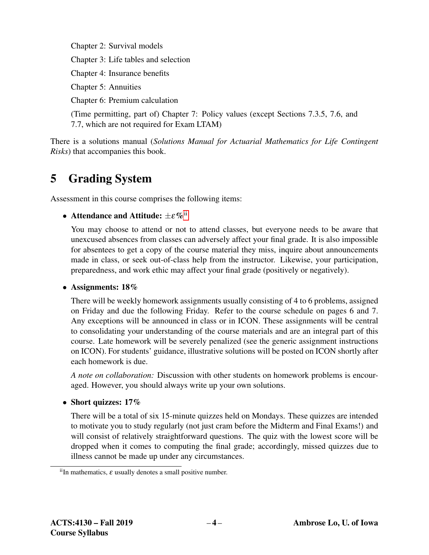Chapter 2: Survival models

Chapter 3: Life tables and selection

Chapter 4: Insurance benefits

Chapter 5: Annuities

Chapter 6: Premium calculation

(Time permitting, part of) Chapter 7: Policy values (except Sections 7.3.5, 7.6, and 7.7, which are not required for Exam LTAM)

There is a solutions manual (*Solutions Manual for Actuarial Mathematics for Life Contingent Risks*) that accompanies this book.

# 5 Grading System

Assessment in this course comprises the following items:

## • Attendance and Attitude:  $\pm \varepsilon \%$ <sup>[ii](#page-3-0)</sup>

You may choose to attend or not to attend classes, but everyone needs to be aware that unexcused absences from classes can adversely affect your final grade. It is also impossible for absentees to get a copy of the course material they miss, inquire about announcements made in class, or seek out-of-class help from the instructor. Likewise, your participation, preparedness, and work ethic may affect your final grade (positively or negatively).

### • Assignments: 18%

There will be weekly homework assignments usually consisting of 4 to 6 problems, assigned on Friday and due the following Friday. Refer to the course schedule on pages 6 and 7. Any exceptions will be announced in class or in ICON. These assignments will be central to consolidating your understanding of the course materials and are an integral part of this course. Late homework will be severely penalized (see the generic assignment instructions on ICON). For students' guidance, illustrative solutions will be posted on ICON shortly after each homework is due.

*A note on collaboration:* Discussion with other students on homework problems is encouraged. However, you should always write up your own solutions.

### • Short quizzes: 17%

There will be a total of six 15-minute quizzes held on Mondays. These quizzes are intended to motivate you to study regularly (not just cram before the Midterm and Final Exams!) and will consist of relatively straightforward questions. The quiz with the lowest score will be dropped when it comes to computing the final grade; accordingly, missed quizzes due to illness cannot be made up under any circumstances.

<span id="page-3-0"></span> $i$ <sup>ii</sup>In mathematics,  $\varepsilon$  usually denotes a small positive number.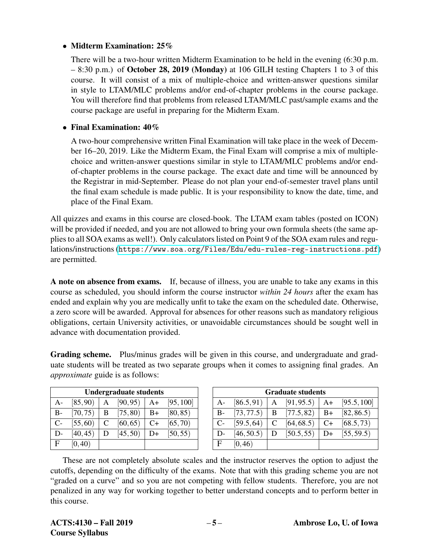### • Midterm Examination: 25%

There will be a two-hour written Midterm Examination to be held in the evening (6:30 p.m. – 8:30 p.m.) of October 28, 2019 (Monday) at 106 GILH testing Chapters 1 to 3 of this course. It will consist of a mix of multiple-choice and written-answer questions similar in style to LTAM/MLC problems and/or end-of-chapter problems in the course package. You will therefore find that problems from released LTAM/MLC past/sample exams and the course package are useful in preparing for the Midterm Exam.

### • Final Examination:  $40\%$

A two-hour comprehensive written Final Examination will take place in the week of December 16–20, 2019. Like the Midterm Exam, the Final Exam will comprise a mix of multiplechoice and written-answer questions similar in style to LTAM/MLC problems and/or endof-chapter problems in the course package. The exact date and time will be announced by the Registrar in mid-September. Please do not plan your end-of-semester travel plans until the final exam schedule is made public. It is your responsibility to know the date, time, and place of the Final Exam.

All quizzes and exams in this course are closed-book. The LTAM exam tables (posted on ICON) will be provided if needed, and you are not allowed to bring your own formula sheets (the same applies to all SOA exams as well!). Only calculators listed on Point 9 of the SOA exam rules and regulations/instructions (<https://www.soa.org/Files/Edu/edu-rules-reg-instructions.pdf>) are permitted.

A note on absence from exams. If, because of illness, you are unable to take any exams in this course as scheduled, you should inform the course instructor *within 24 hours* after the exam has ended and explain why you are medically unfit to take the exam on the scheduled date. Otherwise, a zero score will be awarded. Approval for absences for other reasons such as mandatory religious obligations, certain University activities, or unavoidable circumstances should be sought well in advance with documentation provided.

Grading scheme. Plus/minus grades will be given in this course, and undergraduate and graduate students will be treated as two separate groups when it comes to assigning final grades. An *approximate* guide is as follows:

| <b>Undergraduate students</b> |          |   |          |      |           |
|-------------------------------|----------|---|----------|------|-----------|
| A-                            | [85, 90) | Α | [90, 95) | A+   | [95, 100] |
| $B -$                         | [70, 75) | B | [75, 80) | $B+$ | [80, 85)  |
| $C-$                          | [55, 60) | C | [60, 65) | $C+$ | [65, 70)  |
| D-                            | [40, 45) | D | [45, 50) | D+   | [50, 55)  |
| F                             | [0, 40)  |   |          |      |           |

| <b>Graduate students</b> |            |   |            |      |             |
|--------------------------|------------|---|------------|------|-------------|
| $A-$                     | [86.5, 91) | A | [91, 95.5] | A+   | [95.5, 100] |
| $B-$                     | [73, 77.5] | B | [77.5, 82] | $B+$ | [82, 86.5]  |
| $C-$                     | [59.5, 64] | C | [64, 68.5) | $C+$ | [68.5, 73]  |
| D-                       | [46, 50.5) | D | [50.5, 55] | D+   | [55, 59.5]  |
| $\mathbf{F}$             | [0, 46)    |   |            |      |             |

These are not completely absolute scales and the instructor reserves the option to adjust the cutoffs, depending on the difficulty of the exams. Note that with this grading scheme you are not "graded on a curve" and so you are not competing with fellow students. Therefore, you are not penalized in any way for working together to better understand concepts and to perform better in this course.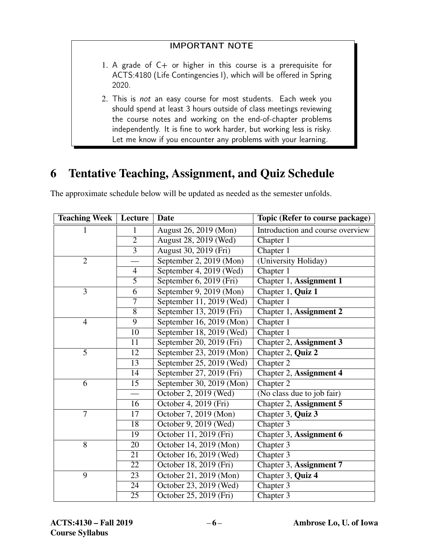### IMPORTANT NOTE

- 1. A grade of  $C+$  or higher in this course is a prerequisite for ACTS:4180 (Life Contingencies I), which will be offered in Spring 2020.
- 2. This is not an easy course for most students. Each week you should spend at least 3 hours outside of class meetings reviewing the course notes and working on the end-of-chapter problems independently. It is fine to work harder, but working less is risky. Let me know if you encounter any problems with your learning.

# 6 Tentative Teaching, Assignment, and Quiz Schedule

| <b>Teaching Week</b> | Lecture         | Date                     | Topic (Refer to course package)  |  |
|----------------------|-----------------|--------------------------|----------------------------------|--|
| 1                    | $\mathbf{1}$    | August 26, 2019 (Mon)    | Introduction and course overview |  |
|                      | $\overline{2}$  | August 28, 2019 (Wed)    | Chapter 1                        |  |
|                      | $\overline{3}$  | August 30, 2019 (Fri)    | Chapter 1                        |  |
| $\overline{2}$       |                 | September 2, 2019 (Mon)  | (University Holiday)             |  |
|                      | $\overline{4}$  | September 4, 2019 (Wed)  | Chapter 1                        |  |
|                      | $\overline{5}$  | September 6, 2019 (Fri)  | Chapter 1, Assignment 1          |  |
| $\overline{3}$       | 6               | September 9, 2019 (Mon)  | Chapter 1, Quiz 1                |  |
|                      | 7               | September 11, 2019 (Wed) | Chapter 1                        |  |
|                      | $\overline{8}$  | September 13, 2019 (Fri) | Chapter 1, Assignment 2          |  |
| $\overline{4}$       | 9               | September 16, 2019 (Mon) | Chapter 1                        |  |
|                      | 10              | September 18, 2019 (Wed) | Chapter 1                        |  |
|                      | $\overline{11}$ | September 20, 2019 (Fri) | Chapter 2, Assignment 3          |  |
| 5                    | 12              | September 23, 2019 (Mon) | Chapter 2, Quiz 2                |  |
|                      | 13              | September 25, 2019 (Wed) | Chapter 2                        |  |
|                      | 14              | September 27, 2019 (Fri) | Chapter 2, Assignment 4          |  |
| 6                    | 15              | September 30, 2019 (Mon) | Chapter 2                        |  |
|                      |                 | October 2, 2019 (Wed)    | (No class due to job fair)       |  |
|                      | $\overline{16}$ | October 4, 2019 (Fri)    | Chapter 2, Assignment 5          |  |
| $\overline{7}$       | 17              | October 7, 2019 (Mon)    | Chapter 3, Quiz 3                |  |
|                      | $\overline{18}$ | October 9, 2019 (Wed)    | Chapter 3                        |  |
|                      | 19              | October 11, 2019 (Fri)   | Chapter 3, Assignment 6          |  |
| 8                    | 20              | October 14, 2019 (Mon)   | Chapter 3                        |  |
|                      | 21              | October 16, 2019 (Wed)   | Chapter 3                        |  |
|                      | 22              | October 18, 2019 (Fri)   | Chapter 3, Assignment 7          |  |
| 9                    | 23              | October 21, 2019 (Mon)   | Chapter 3, Quiz 4                |  |
|                      | 24              | October 23, 2019 (Wed)   | Chapter 3                        |  |
|                      | $\overline{25}$ | October 25, 2019 (Fri)   | Chapter 3                        |  |

The approximate schedule below will be updated as needed as the semester unfolds.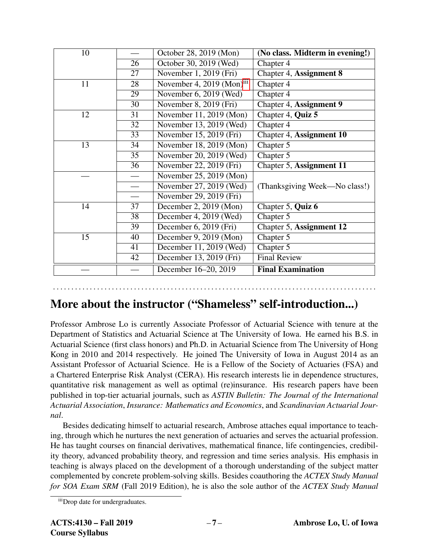| 10 |    | October 28, 2019 (Mon)                | (No class. Midterm in evening!) |  |
|----|----|---------------------------------------|---------------------------------|--|
|    | 26 | October 30, 2019 (Wed)                | Chapter 4                       |  |
|    | 27 | November 1, 2019 (Fri)                | Chapter 4, Assignment 8         |  |
| 11 | 28 | November 4, 2019 (Mon) <sup>111</sup> | Chapter 4                       |  |
|    | 29 | November 6, 2019 (Wed)                | Chapter 4                       |  |
|    | 30 | November 8, 2019 (Fri)                | Chapter 4, Assignment 9         |  |
| 12 | 31 | November 11, 2019 (Mon)               | Chapter 4, Quiz 5               |  |
|    | 32 | November 13, 2019 (Wed)               | Chapter 4                       |  |
|    | 33 | November 15, 2019 (Fri)               | Chapter 4, Assignment 10        |  |
| 13 | 34 | November 18, 2019 (Mon)               | Chapter 5                       |  |
|    | 35 | November 20, 2019 (Wed)               | Chapter 5                       |  |
|    | 36 | November 22, 2019 (Fri)               | Chapter 5, Assignment 11        |  |
|    |    | November 25, 2019 (Mon)               |                                 |  |
|    |    | November 27, 2019 (Wed)               | (Thanksgiving Week—No class!)   |  |
|    |    | November 29, 2019 (Fri)               |                                 |  |
| 14 | 37 | December 2, 2019 (Mon)                | Chapter 5, Quiz 6               |  |
|    | 38 | December 4, 2019 (Wed)                | Chapter 5                       |  |
|    | 39 | December 6, 2019 (Fri)                | Chapter 5, Assignment 12        |  |
| 15 | 40 | December 9, 2019 (Mon)                | Chapter 5                       |  |
|    | 41 | December 11, 2019 (Wed)               | Chapter 5                       |  |
|    | 42 | December 13, 2019 (Fri)               | <b>Final Review</b>             |  |
|    |    | December 16–20, 2019                  | <b>Final Examination</b>        |  |

## More about the instructor ("Shameless" self-introduction...)

. . . . . . . . . . . . . . . . . . . . . . . . . . . . . . . . . . . . . . . . . . . . . . . . . . . . . . . . . . . . . . . . . . . . . . . . . . . . . . . . . . . . . . . .

Professor Ambrose Lo is currently Associate Professor of Actuarial Science with tenure at the Department of Statistics and Actuarial Science at The University of Iowa. He earned his B.S. in Actuarial Science (first class honors) and Ph.D. in Actuarial Science from The University of Hong Kong in 2010 and 2014 respectively. He joined The University of Iowa in August 2014 as an Assistant Professor of Actuarial Science. He is a Fellow of the Society of Actuaries (FSA) and a Chartered Enterprise Risk Analyst (CERA). His research interests lie in dependence structures, quantitative risk management as well as optimal (re)insurance. His research papers have been published in top-tier actuarial journals, such as *ASTIN Bulletin: The Journal of the International Actuarial Association*, *Insurance: Mathematics and Economics*, and *Scandinavian Actuarial Journal*.

Besides dedicating himself to actuarial research, Ambrose attaches equal importance to teaching, through which he nurtures the next generation of actuaries and serves the actuarial profession. He has taught courses on financial derivatives, mathematical finance, life contingencies, credibility theory, advanced probability theory, and regression and time series analysis. His emphasis in teaching is always placed on the development of a thorough understanding of the subject matter complemented by concrete problem-solving skills. Besides coauthoring the *ACTEX Study Manual for SOA Exam SRM* (Fall 2019 Edition), he is also the sole author of the *ACTEX Study Manual*

<span id="page-6-0"></span>iiiDrop date for undergraduates.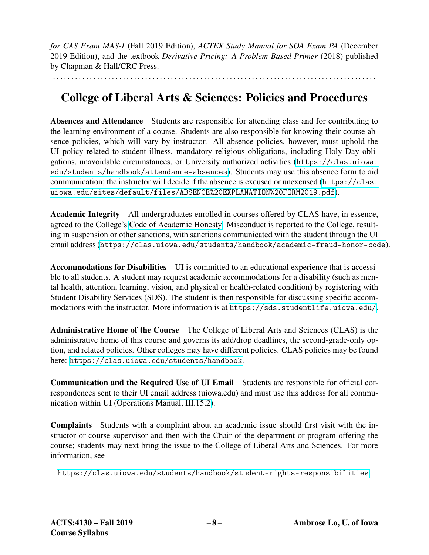*for CAS Exam MAS-I* (Fall 2019 Edition), *ACTEX Study Manual for SOA Exam PA* (December 2019 Edition), and the textbook *Derivative Pricing: A Problem-Based Primer* (2018) published by Chapman & Hall/CRC Press.

. . . . . . . . . . . . . . . . . . . . . . . . . . . . . . . . . . . . . . . . . . . . . . . . . . . . . . . . . . . . . . . . . . . . . . . . . . . . . . . . . . . . . . . .

## College of Liberal Arts & Sciences: Policies and Procedures

Absences and Attendance Students are responsible for attending class and for contributing to the learning environment of a course. Students are also responsible for knowing their course absence policies, which will vary by instructor. All absence policies, however, must uphold the UI policy related to student illness, mandatory religious obligations, including Holy Day obligations, unavoidable circumstances, or University authorized activities ([https://clas.uiowa.](https://clas.uiowa.edu/students/handbook/attendance-absences) [edu/students/handbook/attendance-absences](https://clas.uiowa.edu/students/handbook/attendance-absences)). Students may use this absence form to aid communication; the instructor will decide if the absence is excused or unexcused ([https://clas.](https://clas.uiowa.edu/sites/default/files/ABSENCE%20EXPLANATION%20FORM2019.pdf) [uiowa.edu/sites/default/files/ABSENCE%20EXPLANATION%20FORM2019.pdf](https://clas.uiowa.edu/sites/default/files/ABSENCE%20EXPLANATION%20FORM2019.pdf)).

Academic Integrity All undergraduates enrolled in courses offered by CLAS have, in essence, agreed to the College's [Code of Academic Honesty.](https://clas.uiowa.edu/students/handbook/academic-fraud-honor-code) Misconduct is reported to the College, resulting in suspension or other sanctions, with sanctions communicated with the student through the UI email address (<https://clas.uiowa.edu/students/handbook/academic-fraud-honor-code>).

Accommodations for Disabilities UI is committed to an educational experience that is accessible to all students. A student may request academic accommodations for a disability (such as mental health, attention, learning, vision, and physical or health-related condition) by registering with Student Disability Services (SDS). The student is then responsible for discussing specific accommodations with the instructor. More information is at <https://sds.studentlife.uiowa.edu/>.

Administrative Home of the Course The College of Liberal Arts and Sciences (CLAS) is the administrative home of this course and governs its add/drop deadlines, the second-grade-only option, and related policies. Other colleges may have different policies. CLAS policies may be found here: <https://clas.uiowa.edu/students/handbook>.

Communication and the Required Use of UI Email Students are responsible for official correspondences sent to their UI email address (uiowa.edu) and must use this address for all communication within UI [\(Operations Manual, III.15.2\)](https://opsmanual.uiowa.edu/human-resources/professional-ethics-and-academic-responsibility#15.2).

Complaints Students with a complaint about an academic issue should first visit with the instructor or course supervisor and then with the Chair of the department or program offering the course; students may next bring the issue to the College of Liberal Arts and Sciences. For more information, see

<https://clas.uiowa.edu/students/handbook/student-rights-responsibilities>.